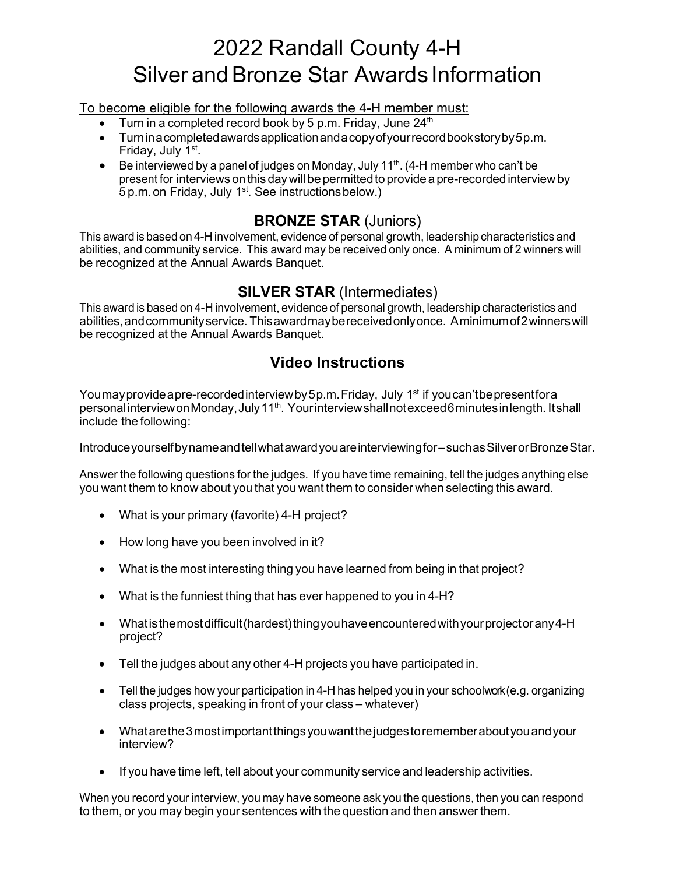# 2022 Randall County 4-H Silver and Bronze Star Awards Information

#### To become eligible for the following awards the 4-H member must:

- Turn in a completed record book by 5 p.m. Friday, June 24<sup>th</sup>
- Turnin a completedawardsapplicationand a copyofyourrecordbookstoryby 5 p.m. Friday, July 1st.
- Be interviewed by a panel of judges on Monday, July 11<sup>th</sup>,  $(4-H$  member who can't be present for interviews onthis daywillbe permittedto provide a pre-recordedinterviewby 5 p.m. on Friday, July 1<sup>st</sup>. See instructions below.)

### **BRONZE STAR** (Juniors)

This award is based on 4-H involvement, evidence of personal growth, leadership characteristics and abilities, and community service. This award may be received only once. A minimum of 2 winners will be recognized at the Annual Awards Banquet.

#### **SILVER STAR** (Intermediates)

This award is based on 4-H involvement, evidence of personal growth, leadership characteristics and abilities, and community service. This award may be received only once. A minimum of 2 winners will be recognized at the Annual Awards Banquet.

## **Video Instructions**

Youmay provide a pre-recorded interview by 5 p.m. Friday, July 1<sup>st</sup> if you can't be present for a personal interview on Monday, July 11<sup>th</sup>. Your interviewshall not exceed 6 minutes in length. It shall include the following:

Introduceyourselfbynameandtellwhatawardyouareinterviewingfor – such asSilverorBronzeStar.

Answer the following questions for the judges. If you have time remaining, tell the judges anything else you want them to know about you that you want them to consider when selecting this award.

- What is your primary (favorite) 4-H project?
- How long have you been involved in it?
- What is the most interesting thing you have learned from being in that project?
- What is the funniest thing that has ever happened to you in 4-H?
- Whatisthemostdifficult(hardest)thingyouhaveencounteredwithyourprojectorany 4-H project?
- Tell the judges about any other 4-H projects you have participated in.
- Tell the judges how your participation in 4-H has helped you in your schoolwork (e.g. organizing class projects, speaking in front of your class – whatever)
- Whatarethe 3 mostimportantthingsyouwantthejudgestorememberaboutyouandyour interview?
- If you have time left, tell about your community service and leadership activities.

When you record your interview, you may have someone ask you the questions, then you can respond to them, or you may begin your sentences with the question and then answer them.